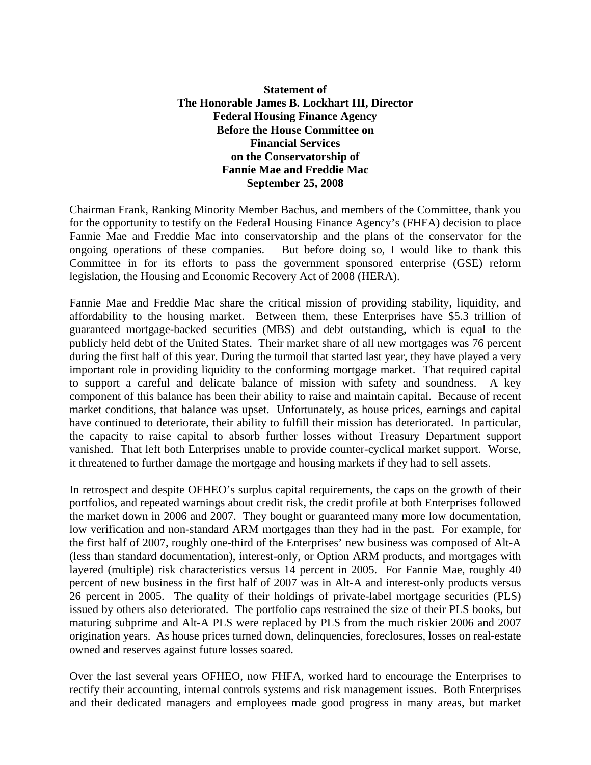## **Statement of The Honorable James B. Lockhart III, Director Federal Housing Finance Agency Before the House Committee on Financial Services on the Conservatorship of Fannie Mae and Freddie Mac September 25, 2008**

Chairman Frank, Ranking Minority Member Bachus, and members of the Committee, thank you for the opportunity to testify on the Federal Housing Finance Agency's (FHFA) decision to place Fannie Mae and Freddie Mac into conservatorship and the plans of the conservator for the ongoing operations of these companies. But before doing so, I would like to thank this Committee in for its efforts to pass the government sponsored enterprise (GSE) reform legislation, the Housing and Economic Recovery Act of 2008 (HERA).

Fannie Mae and Freddie Mac share the critical mission of providing stability, liquidity, and affordability to the housing market. Between them, these Enterprises have \$5.3 trillion of guaranteed mortgage-backed securities (MBS) and debt outstanding, which is equal to the publicly held debt of the United States. Their market share of all new mortgages was 76 percent during the first half of this year. During the turmoil that started last year, they have played a very important role in providing liquidity to the conforming mortgage market. That required capital to support a careful and delicate balance of mission with safety and soundness. A key component of this balance has been their ability to raise and maintain capital. Because of recent market conditions, that balance was upset. Unfortunately, as house prices, earnings and capital have continued to deteriorate, their ability to fulfill their mission has deteriorated. In particular, the capacity to raise capital to absorb further losses without Treasury Department support vanished. That left both Enterprises unable to provide counter-cyclical market support. Worse, it threatened to further damage the mortgage and housing markets if they had to sell assets.

In retrospect and despite OFHEO's surplus capital requirements, the caps on the growth of their portfolios, and repeated warnings about credit risk, the credit profile at both Enterprises followed the market down in 2006 and 2007. They bought or guaranteed many more low documentation, low verification and non-standard ARM mortgages than they had in the past. For example, for the first half of 2007, roughly one-third of the Enterprises' new business was composed of Alt-A (less than standard documentation), interest-only, or Option ARM products, and mortgages with layered (multiple) risk characteristics versus 14 percent in 2005. For Fannie Mae, roughly 40 percent of new business in the first half of 2007 was in Alt-A and interest-only products versus 26 percent in 2005. The quality of their holdings of private-label mortgage securities (PLS) issued by others also deteriorated. The portfolio caps restrained the size of their PLS books, but maturing subprime and Alt-A PLS were replaced by PLS from the much riskier 2006 and 2007 origination years. As house prices turned down, delinquencies, foreclosures, losses on real-estate owned and reserves against future losses soared.

Over the last several years OFHEO, now FHFA, worked hard to encourage the Enterprises to rectify their accounting, internal controls systems and risk management issues. Both Enterprises and their dedicated managers and employees made good progress in many areas, but market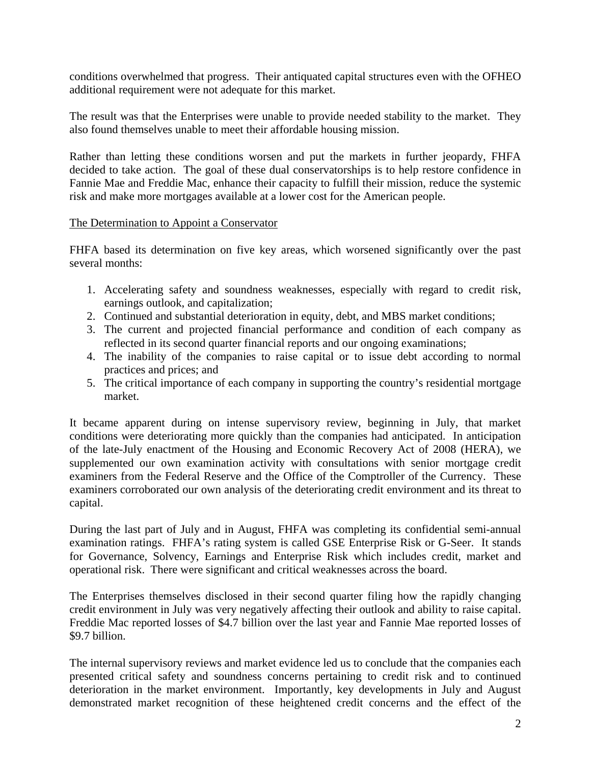conditions overwhelmed that progress. Their antiquated capital structures even with the OFHEO additional requirement were not adequate for this market.

The result was that the Enterprises were unable to provide needed stability to the market. They also found themselves unable to meet their affordable housing mission.

Rather than letting these conditions worsen and put the markets in further jeopardy, FHFA decided to take action. The goal of these dual conservatorships is to help restore confidence in Fannie Mae and Freddie Mac, enhance their capacity to fulfill their mission, reduce the systemic risk and make more mortgages available at a lower cost for the American people.

## The Determination to Appoint a Conservator

FHFA based its determination on five key areas, which worsened significantly over the past several months:

- 1. Accelerating safety and soundness weaknesses, especially with regard to credit risk, earnings outlook, and capitalization;
- 2. Continued and substantial deterioration in equity, debt, and MBS market conditions;
- 3. The current and projected financial performance and condition of each company as reflected in its second quarter financial reports and our ongoing examinations;
- 4. The inability of the companies to raise capital or to issue debt according to normal practices and prices; and
- 5. The critical importance of each company in supporting the country's residential mortgage market.

It became apparent during on intense supervisory review, beginning in July, that market conditions were deteriorating more quickly than the companies had anticipated. In anticipation of the late-July enactment of the Housing and Economic Recovery Act of 2008 (HERA), we supplemented our own examination activity with consultations with senior mortgage credit examiners from the Federal Reserve and the Office of the Comptroller of the Currency. These examiners corroborated our own analysis of the deteriorating credit environment and its threat to capital.

During the last part of July and in August, FHFA was completing its confidential semi-annual examination ratings. FHFA's rating system is called GSE Enterprise Risk or G-Seer. It stands for Governance, Solvency, Earnings and Enterprise Risk which includes credit, market and operational risk. There were significant and critical weaknesses across the board.

The Enterprises themselves disclosed in their second quarter filing how the rapidly changing credit environment in July was very negatively affecting their outlook and ability to raise capital. Freddie Mac reported losses of \$4.7 billion over the last year and Fannie Mae reported losses of \$9.7 billion.

The internal supervisory reviews and market evidence led us to conclude that the companies each presented critical safety and soundness concerns pertaining to credit risk and to continued deterioration in the market environment. Importantly, key developments in July and August demonstrated market recognition of these heightened credit concerns and the effect of the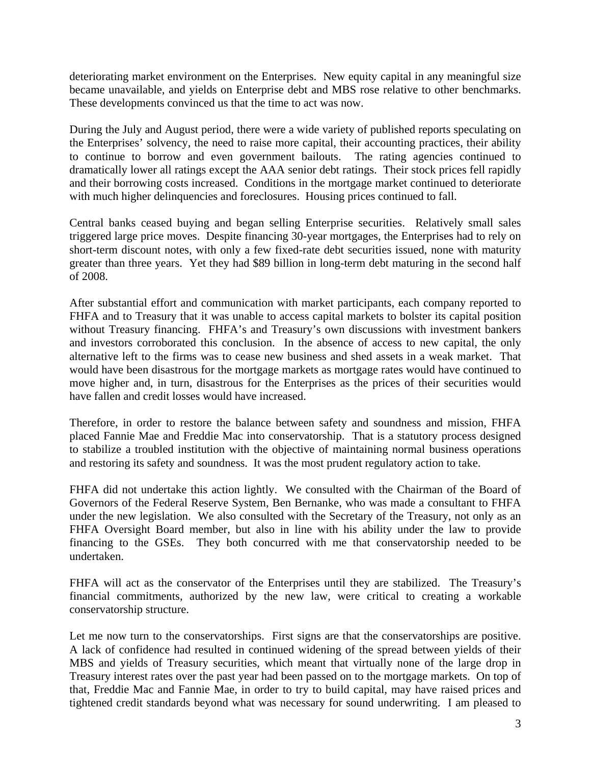deteriorating market environment on the Enterprises. New equity capital in any meaningful size became unavailable, and yields on Enterprise debt and MBS rose relative to other benchmarks. These developments convinced us that the time to act was now.

During the July and August period, there were a wide variety of published reports speculating on the Enterprises' solvency, the need to raise more capital, their accounting practices, their ability to continue to borrow and even government bailouts. The rating agencies continued to dramatically lower all ratings except the AAA senior debt ratings. Their stock prices fell rapidly and their borrowing costs increased. Conditions in the mortgage market continued to deteriorate with much higher delinquencies and foreclosures. Housing prices continued to fall.

Central banks ceased buying and began selling Enterprise securities. Relatively small sales triggered large price moves. Despite financing 30-year mortgages, the Enterprises had to rely on short-term discount notes, with only a few fixed-rate debt securities issued, none with maturity greater than three years. Yet they had \$89 billion in long-term debt maturing in the second half of 2008.

After substantial effort and communication with market participants, each company reported to FHFA and to Treasury that it was unable to access capital markets to bolster its capital position without Treasury financing. FHFA's and Treasury's own discussions with investment bankers and investors corroborated this conclusion. In the absence of access to new capital, the only alternative left to the firms was to cease new business and shed assets in a weak market. That would have been disastrous for the mortgage markets as mortgage rates would have continued to move higher and, in turn, disastrous for the Enterprises as the prices of their securities would have fallen and credit losses would have increased.

Therefore, in order to restore the balance between safety and soundness and mission, FHFA placed Fannie Mae and Freddie Mac into conservatorship. That is a statutory process designed to stabilize a troubled institution with the objective of maintaining normal business operations and restoring its safety and soundness. It was the most prudent regulatory action to take.

FHFA did not undertake this action lightly. We consulted with the Chairman of the Board of Governors of the Federal Reserve System, Ben Bernanke, who was made a consultant to FHFA under the new legislation. We also consulted with the Secretary of the Treasury, not only as an FHFA Oversight Board member, but also in line with his ability under the law to provide financing to the GSEs. They both concurred with me that conservatorship needed to be undertaken.

FHFA will act as the conservator of the Enterprises until they are stabilized. The Treasury's financial commitments, authorized by the new law, were critical to creating a workable conservatorship structure.

Let me now turn to the conservatorships. First signs are that the conservatorships are positive. A lack of confidence had resulted in continued widening of the spread between yields of their MBS and yields of Treasury securities, which meant that virtually none of the large drop in Treasury interest rates over the past year had been passed on to the mortgage markets. On top of that, Freddie Mac and Fannie Mae, in order to try to build capital, may have raised prices and tightened credit standards beyond what was necessary for sound underwriting. I am pleased to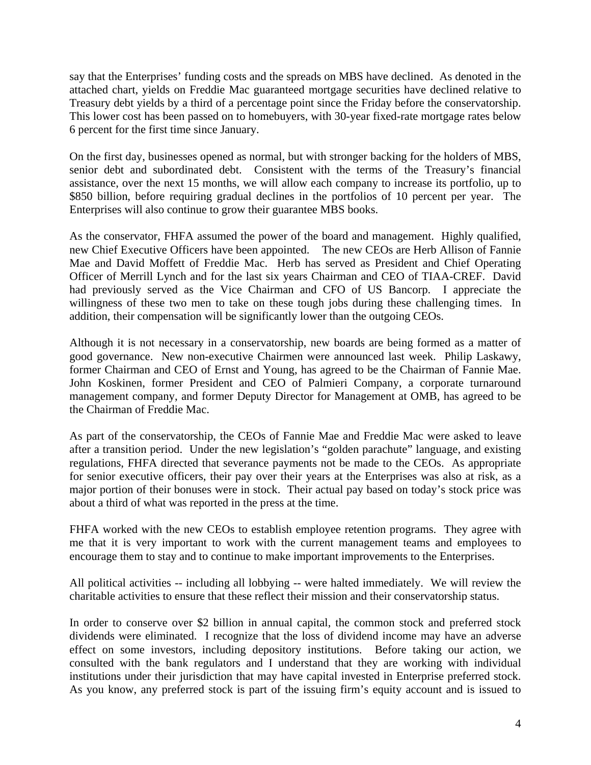say that the Enterprises' funding costs and the spreads on MBS have declined. As denoted in the attached chart, yields on Freddie Mac guaranteed mortgage securities have declined relative to Treasury debt yields by a third of a percentage point since the Friday before the conservatorship. This lower cost has been passed on to homebuyers, with 30-year fixed-rate mortgage rates below 6 percent for the first time since January.

On the first day, businesses opened as normal, but with stronger backing for the holders of MBS, senior debt and subordinated debt. Consistent with the terms of the Treasury's financial assistance, over the next 15 months, we will allow each company to increase its portfolio, up to \$850 billion, before requiring gradual declines in the portfolios of 10 percent per year. The Enterprises will also continue to grow their guarantee MBS books.

As the conservator, FHFA assumed the power of the board and management. Highly qualified, new Chief Executive Officers have been appointed. The new CEOs are Herb Allison of Fannie Mae and David Moffett of Freddie Mac. Herb has served as President and Chief Operating Officer of Merrill Lynch and for the last six years Chairman and CEO of TIAA-CREF. David had previously served as the Vice Chairman and CFO of US Bancorp. I appreciate the willingness of these two men to take on these tough jobs during these challenging times. In addition, their compensation will be significantly lower than the outgoing CEOs.

Although it is not necessary in a conservatorship, new boards are being formed as a matter of good governance. New non-executive Chairmen were announced last week. Philip Laskawy, former Chairman and CEO of Ernst and Young, has agreed to be the Chairman of Fannie Mae. John Koskinen, former President and CEO of Palmieri Company, a corporate turnaround management company, and former Deputy Director for Management at OMB, has agreed to be the Chairman of Freddie Mac.

As part of the conservatorship, the CEOs of Fannie Mae and Freddie Mac were asked to leave after a transition period. Under the new legislation's "golden parachute" language, and existing regulations, FHFA directed that severance payments not be made to the CEOs. As appropriate for senior executive officers, their pay over their years at the Enterprises was also at risk, as a major portion of their bonuses were in stock. Their actual pay based on today's stock price was about a third of what was reported in the press at the time.

FHFA worked with the new CEOs to establish employee retention programs. They agree with me that it is very important to work with the current management teams and employees to encourage them to stay and to continue to make important improvements to the Enterprises.

All political activities -- including all lobbying -- were halted immediately. We will review the charitable activities to ensure that these reflect their mission and their conservatorship status.

In order to conserve over \$2 billion in annual capital, the common stock and preferred stock dividends were eliminated. I recognize that the loss of dividend income may have an adverse effect on some investors, including depository institutions. Before taking our action, we consulted with the bank regulators and I understand that they are working with individual institutions under their jurisdiction that may have capital invested in Enterprise preferred stock. As you know, any preferred stock is part of the issuing firm's equity account and is issued to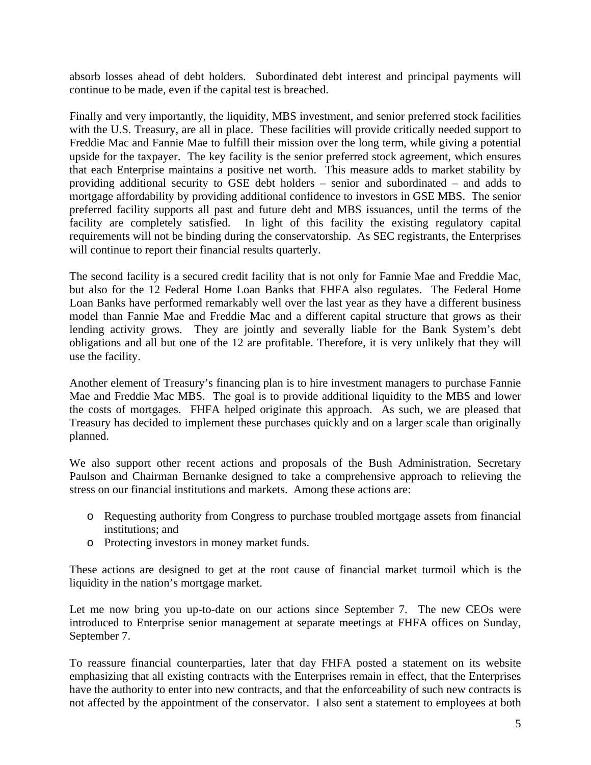absorb losses ahead of debt holders. Subordinated debt interest and principal payments will continue to be made, even if the capital test is breached.

Finally and very importantly, the liquidity, MBS investment, and senior preferred stock facilities with the U.S. Treasury, are all in place. These facilities will provide critically needed support to Freddie Mac and Fannie Mae to fulfill their mission over the long term, while giving a potential upside for the taxpayer. The key facility is the senior preferred stock agreement, which ensures that each Enterprise maintains a positive net worth. This measure adds to market stability by providing additional security to GSE debt holders – senior and subordinated – and adds to mortgage affordability by providing additional confidence to investors in GSE MBS. The senior preferred facility supports all past and future debt and MBS issuances, until the terms of the facility are completely satisfied. In light of this facility the existing regulatory capital requirements will not be binding during the conservatorship. As SEC registrants, the Enterprises will continue to report their financial results quarterly.

The second facility is a secured credit facility that is not only for Fannie Mae and Freddie Mac, but also for the 12 Federal Home Loan Banks that FHFA also regulates. The Federal Home Loan Banks have performed remarkably well over the last year as they have a different business model than Fannie Mae and Freddie Mac and a different capital structure that grows as their lending activity grows. They are jointly and severally liable for the Bank System's debt obligations and all but one of the 12 are profitable. Therefore, it is very unlikely that they will use the facility.

Another element of Treasury's financing plan is to hire investment managers to purchase Fannie Mae and Freddie Mac MBS. The goal is to provide additional liquidity to the MBS and lower the costs of mortgages. FHFA helped originate this approach. As such, we are pleased that Treasury has decided to implement these purchases quickly and on a larger scale than originally planned.

We also support other recent actions and proposals of the Bush Administration, Secretary Paulson and Chairman Bernanke designed to take a comprehensive approach to relieving the stress on our financial institutions and markets. Among these actions are:

- o Requesting authority from Congress to purchase troubled mortgage assets from financial institutions; and
- o Protecting investors in money market funds.

These actions are designed to get at the root cause of financial market turmoil which is the liquidity in the nation's mortgage market.

Let me now bring you up-to-date on our actions since September 7. The new CEOs were introduced to Enterprise senior management at separate meetings at FHFA offices on Sunday, September 7.

To reassure financial counterparties, later that day FHFA posted a statement on its website emphasizing that all existing contracts with the Enterprises remain in effect, that the Enterprises have the authority to enter into new contracts, and that the enforceability of such new contracts is not affected by the appointment of the conservator. I also sent a statement to employees at both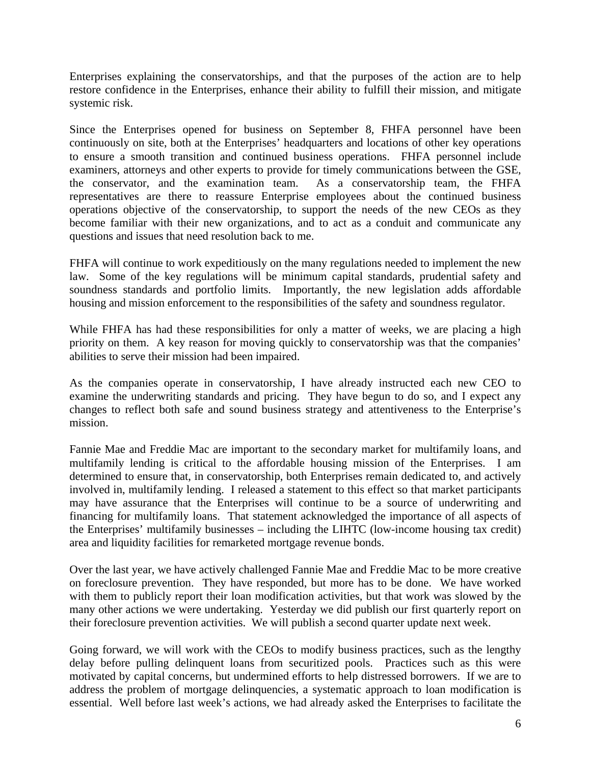Enterprises explaining the conservatorships, and that the purposes of the action are to help restore confidence in the Enterprises, enhance their ability to fulfill their mission, and mitigate systemic risk.

Since the Enterprises opened for business on September 8, FHFA personnel have been continuously on site, both at the Enterprises' headquarters and locations of other key operations to ensure a smooth transition and continued business operations. FHFA personnel include examiners, attorneys and other experts to provide for timely communications between the GSE, the conservator, and the examination team. As a conservatorship team, the FHFA representatives are there to reassure Enterprise employees about the continued business operations objective of the conservatorship, to support the needs of the new CEOs as they become familiar with their new organizations, and to act as a conduit and communicate any questions and issues that need resolution back to me.

FHFA will continue to work expeditiously on the many regulations needed to implement the new law. Some of the key regulations will be minimum capital standards, prudential safety and soundness standards and portfolio limits. Importantly, the new legislation adds affordable housing and mission enforcement to the responsibilities of the safety and soundness regulator.

While FHFA has had these responsibilities for only a matter of weeks, we are placing a high priority on them. A key reason for moving quickly to conservatorship was that the companies' abilities to serve their mission had been impaired.

As the companies operate in conservatorship, I have already instructed each new CEO to examine the underwriting standards and pricing. They have begun to do so, and I expect any changes to reflect both safe and sound business strategy and attentiveness to the Enterprise's mission.

Fannie Mae and Freddie Mac are important to the secondary market for multifamily loans, and multifamily lending is critical to the affordable housing mission of the Enterprises. I am determined to ensure that, in conservatorship, both Enterprises remain dedicated to, and actively involved in, multifamily lending. I released a statement to this effect so that market participants may have assurance that the Enterprises will continue to be a source of underwriting and financing for multifamily loans. That statement acknowledged the importance of all aspects of the Enterprises' multifamily businesses – including the LIHTC (low-income housing tax credit) area and liquidity facilities for remarketed mortgage revenue bonds.

Over the last year, we have actively challenged Fannie Mae and Freddie Mac to be more creative on foreclosure prevention. They have responded, but more has to be done. We have worked with them to publicly report their loan modification activities, but that work was slowed by the many other actions we were undertaking. Yesterday we did publish our first quarterly report on their foreclosure prevention activities. We will publish a second quarter update next week.

Going forward, we will work with the CEOs to modify business practices, such as the lengthy delay before pulling delinquent loans from securitized pools. Practices such as this were motivated by capital concerns, but undermined efforts to help distressed borrowers. If we are to address the problem of mortgage delinquencies, a systematic approach to loan modification is essential. Well before last week's actions, we had already asked the Enterprises to facilitate the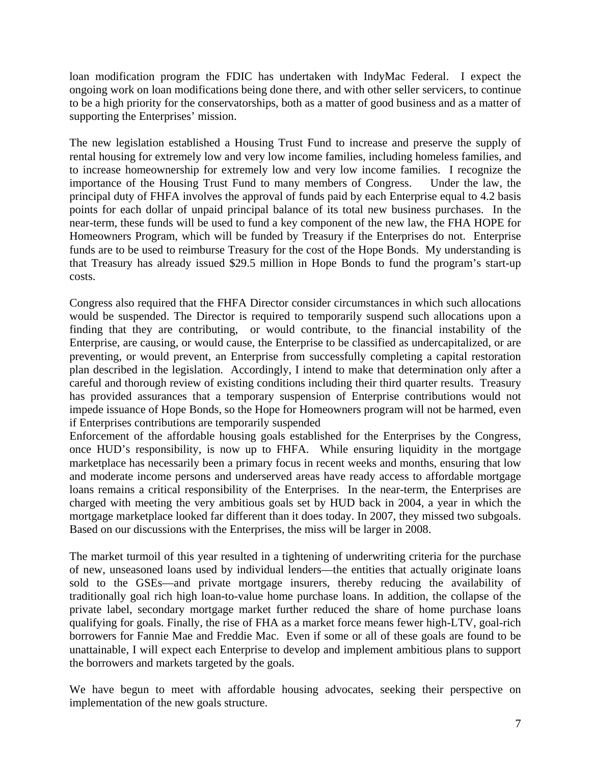loan modification program the FDIC has undertaken with IndyMac Federal. I expect the ongoing work on loan modifications being done there, and with other seller servicers, to continue to be a high priority for the conservatorships, both as a matter of good business and as a matter of supporting the Enterprises' mission.

The new legislation established a Housing Trust Fund to increase and preserve the supply of rental housing for extremely low and very low income families, including homeless families, and to increase homeownership for extremely low and very low income families. I recognize the importance of the Housing Trust Fund to many members of Congress. Under the law, the principal duty of FHFA involves the approval of funds paid by each Enterprise equal to 4.2 basis points for each dollar of unpaid principal balance of its total new business purchases. In the near-term, these funds will be used to fund a key component of the new law, the FHA HOPE for Homeowners Program, which will be funded by Treasury if the Enterprises do not. Enterprise funds are to be used to reimburse Treasury for the cost of the Hope Bonds. My understanding is that Treasury has already issued \$29.5 million in Hope Bonds to fund the program's start-up costs.

Congress also required that the FHFA Director consider circumstances in which such allocations would be suspended. The Director is required to temporarily suspend such allocations upon a finding that they are contributing, or would contribute, to the financial instability of the Enterprise, are causing, or would cause, the Enterprise to be classified as undercapitalized, or are preventing, or would prevent, an Enterprise from successfully completing a capital restoration plan described in the legislation. Accordingly, I intend to make that determination only after a careful and thorough review of existing conditions including their third quarter results. Treasury has provided assurances that a temporary suspension of Enterprise contributions would not impede issuance of Hope Bonds, so the Hope for Homeowners program will not be harmed, even if Enterprises contributions are temporarily suspended

Enforcement of the affordable housing goals established for the Enterprises by the Congress, once HUD's responsibility, is now up to FHFA. While ensuring liquidity in the mortgage marketplace has necessarily been a primary focus in recent weeks and months, ensuring that low and moderate income persons and underserved areas have ready access to affordable mortgage loans remains a critical responsibility of the Enterprises. In the near-term, the Enterprises are charged with meeting the very ambitious goals set by HUD back in 2004, a year in which the mortgage marketplace looked far different than it does today. In 2007, they missed two subgoals. Based on our discussions with the Enterprises, the miss will be larger in 2008.

The market turmoil of this year resulted in a tightening of underwriting criteria for the purchase of new, unseasoned loans used by individual lenders—the entities that actually originate loans sold to the GSEs—and private mortgage insurers, thereby reducing the availability of traditionally goal rich high loan-to-value home purchase loans. In addition, the collapse of the private label, secondary mortgage market further reduced the share of home purchase loans qualifying for goals. Finally, the rise of FHA as a market force means fewer high-LTV, goal-rich borrowers for Fannie Mae and Freddie Mac. Even if some or all of these goals are found to be unattainable, I will expect each Enterprise to develop and implement ambitious plans to support the borrowers and markets targeted by the goals.

We have begun to meet with affordable housing advocates, seeking their perspective on implementation of the new goals structure.